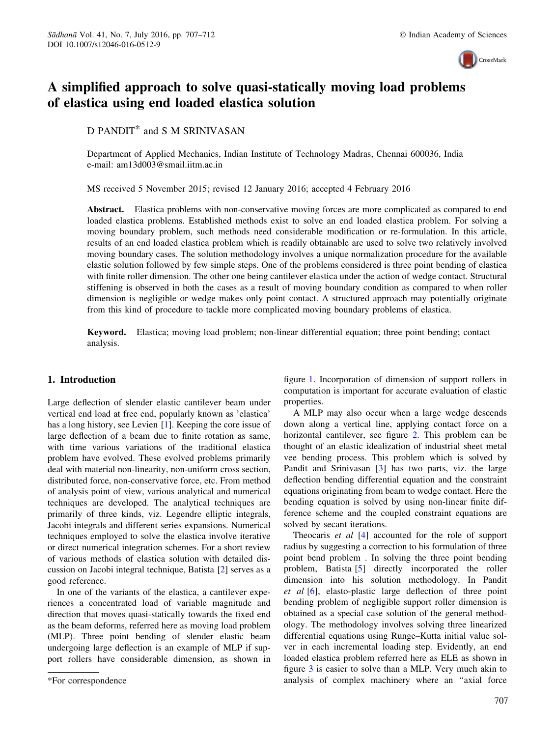

# A simplified approach to solve quasi-statically moving load problems of elastica using end loaded elastica solution

D PANDIT\* and S M SRINIVASAN

Department of Applied Mechanics, Indian Institute of Technology Madras, Chennai 600036, India e-mail: am13d003@smail.iitm.ac.in

MS received 5 November 2015; revised 12 January 2016; accepted 4 February 2016

Abstract. Elastica problems with non-conservative moving forces are more complicated as compared to end loaded elastica problems. Established methods exist to solve an end loaded elastica problem. For solving a moving boundary problem, such methods need considerable modification or re-formulation. In this article, results of an end loaded elastica problem which is readily obtainable are used to solve two relatively involved moving boundary cases. The solution methodology involves a unique normalization procedure for the available elastic solution followed by few simple steps. One of the problems considered is three point bending of elastica with finite roller dimension. The other one being cantilever elastica under the action of wedge contact. Structural stiffening is observed in both the cases as a result of moving boundary condition as compared to when roller dimension is negligible or wedge makes only point contact. A structured approach may potentially originate from this kind of procedure to tackle more complicated moving boundary problems of elastica.

Keyword. Elastica; moving load problem; non-linear differential equation; three point bending; contact analysis.

## 1. Introduction

Large deflection of slender elastic cantilever beam under vertical end load at free end, popularly known as 'elastica' has a long history, see Levien [1]. Keeping the core issue of large deflection of a beam due to finite rotation as same, with time various variations of the traditional elastica problem have evolved. These evolved problems primarily deal with material non-linearity, non-uniform cross section, distributed force, non-conservative force, etc. From method of analysis point of view, various analytical and numerical techniques are developed. The analytical techniques are primarily of three kinds, viz. Legendre elliptic integrals, Jacobi integrals and different series expansions. Numerical techniques employed to solve the elastica involve iterative or direct numerical integration schemes. For a short review of various methods of elastica solution with detailed discussion on Jacobi integral technique, Batista [2] serves as a good reference.

In one of the variants of the elastica, a cantilever experiences a concentrated load of variable magnitude and direction that moves quasi-statically towards the fixed end as the beam deforms, referred here as moving load problem (MLP). Three point bending of slender elastic beam undergoing large deflection is an example of MLP if support rollers have considerable dimension, as shown in figure 1. Incorporation of dimension of support rollers in computation is important for accurate evaluation of elastic properties.

A MLP may also occur when a large wedge descends down along a vertical line, applying contact force on a horizontal cantilever, see figure 2. This problem can be thought of an elastic idealization of industrial sheet metal vee bending process. This problem which is solved by Pandit and Srinivasan [3] has two parts, viz. the large deflection bending differential equation and the constraint equations originating from beam to wedge contact. Here the bending equation is solved by using non-linear finite difference scheme and the coupled constraint equations are solved by secant iterations.

Theocaris *et al* [4] accounted for the role of support radius by suggesting a correction to his formulation of three point bend problem . In solving the three point bending problem, Batista [5] directly incorporated the roller dimension into his solution methodology. In Pandit et al [6], elasto-plastic large deflection of three point bending problem of negligible support roller dimension is obtained as a special case solution of the general methodology. The methodology involves solving three linearized differential equations using Runge–Kutta initial value solver in each incremental loading step. Evidently, an end loaded elastica problem referred here as ELE as shown in figure 3 is easier to solve than a MLP. Very much akin to \*For correspondence analysis of complex machinery where an ''axial force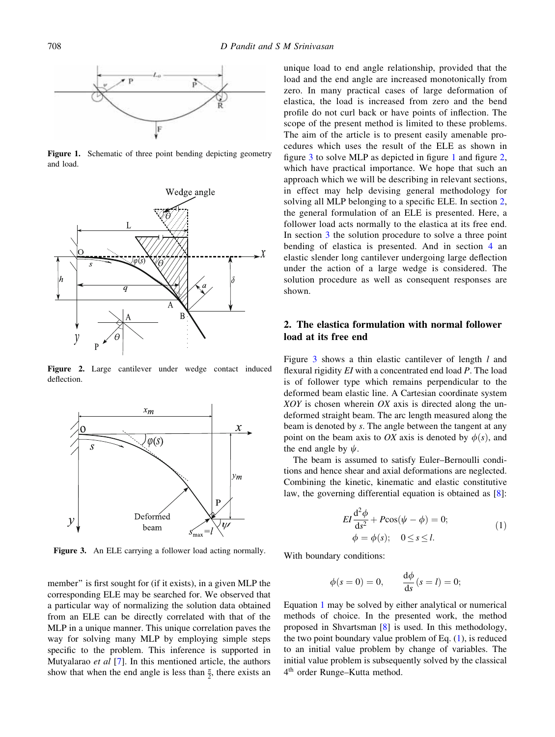

Figure 1. Schematic of three point bending depicting geometry and load.



Figure 2. Large cantilever under wedge contact induced deflection.



Figure 3. An ELE carrying a follower load acting normally.

member" is first sought for (if it exists), in a given MLP the corresponding ELE may be searched for. We observed that a particular way of normalizing the solution data obtained from an ELE can be directly correlated with that of the MLP in a unique manner. This unique correlation paves the way for solving many MLP by employing simple steps specific to the problem. This inference is supported in Mutyalarao et al [7]. In this mentioned article, the authors show that when the end angle is less than  $\frac{\pi}{2}$ , there exists an

unique load to end angle relationship, provided that the load and the end angle are increased monotonically from zero. In many practical cases of large deformation of elastica, the load is increased from zero and the bend profile do not curl back or have points of inflection. The scope of the present method is limited to these problems. The aim of the article is to present easily amenable procedures which uses the result of the ELE as shown in figure 3 to solve MLP as depicted in figure 1 and figure 2, which have practical importance. We hope that such an approach which we will be describing in relevant sections, in effect may help devising general methodology for solving all MLP belonging to a specific ELE. In section 2, the general formulation of an ELE is presented. Here, a follower load acts normally to the elastica at its free end. In section 3 the solution procedure to solve a three point bending of elastica is presented. And in section 4 an elastic slender long cantilever undergoing large deflection under the action of a large wedge is considered. The solution procedure as well as consequent responses are shown.

## 2. The elastica formulation with normal follower load at its free end

Figure 3 shows a thin elastic cantilever of length *l* and flexural rigidity EI with a concentrated end load P. The load is of follower type which remains perpendicular to the deformed beam elastic line. A Cartesian coordinate system  $XOY$  is chosen wherein  $OX$  axis is directed along the undeformed straight beam. The arc length measured along the beam is denoted by s. The angle between the tangent at any point on the beam axis to OX axis is denoted by  $\phi(s)$ , and the end angle by  $\psi$ .

The beam is assumed to satisfy Euler–Bernoulli conditions and hence shear and axial deformations are neglected. Combining the kinetic, kinematic and elastic constitutive law, the governing differential equation is obtained as [8]:

$$
EI\frac{d^2\phi}{ds^2} + P\cos(\psi - \phi) = 0;
$$
  
\n
$$
\phi = \phi(s); \quad 0 \le s \le l.
$$
\n(1)

With boundary conditions:

$$
\phi(s = 0) = 0,
$$
\n $\frac{d\phi}{ds}(s = l) = 0;$ 

Equation 1 may be solved by either analytical or numerical methods of choice. In the presented work, the method proposed in Shvartsman [8] is used. In this methodology, the two point boundary value problem of Eq. (1), is reduced to an initial value problem by change of variables. The initial value problem is subsequently solved by the classical 4th order Runge–Kutta method.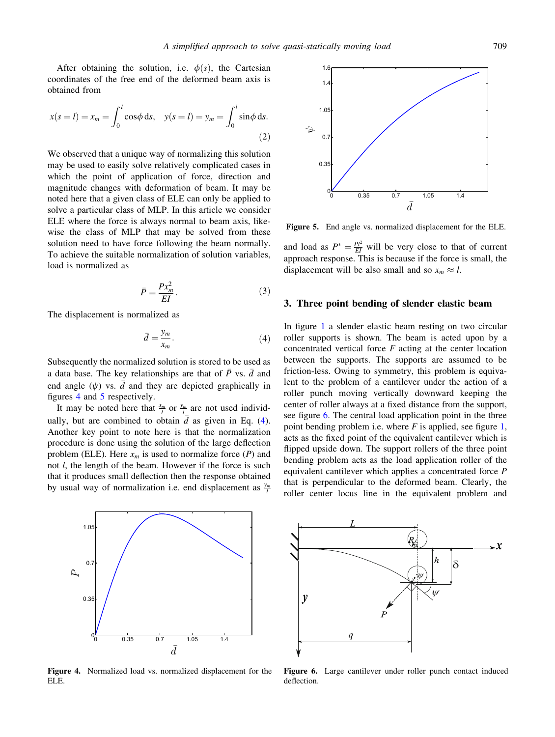After obtaining the solution, i.e.  $\phi(s)$ , the Cartesian coordinates of the free end of the deformed beam axis is obtained from

$$
x(s = l) = x_m = \int_0^l \cos \phi \, ds, \quad y(s = l) = y_m = \int_0^l \sin \phi \, ds.
$$
\n(2)

We observed that a unique way of normalizing this solution may be used to easily solve relatively complicated cases in which the point of application of force, direction and magnitude changes with deformation of beam. It may be noted here that a given class of ELE can only be applied to solve a particular class of MLP. In this article we consider ELE where the force is always normal to beam axis, likewise the class of MLP that may be solved from these solution need to have force following the beam normally. To achieve the suitable normalization of solution variables, load is normalized as

$$
\bar{P} = \frac{Px_m^2}{EI}.\tag{3}
$$

The displacement is normalized as

$$
\bar{d} = \frac{y_m}{x_m}.\tag{4}
$$

Subsequently the normalized solution is stored to be used as a data base. The key relationships are that of  $\bar{P}$  vs.  $\bar{d}$  and end angle  $(\psi)$  vs.  $\overline{d}$  and they are depicted graphically in figures 4 and 5 respectively.

It may be noted here that  $\frac{x_m}{l}$  or  $\frac{y_m}{l}$  are not used individually, but are combined to obtain  $\bar{d}$  as given in Eq. (4). Another key point to note here is that the normalization procedure is done using the solution of the large deflection problem (ELE). Here  $x_m$  is used to normalize force (P) and not l, the length of the beam. However if the force is such that it produces small deflection then the response obtained by usual way of normalization i.e. end displacement as  $\frac{y_m}{l}$ 



Figure 5. End angle vs. normalized displacement for the ELE.

and load as  $P^* = \frac{Pl^2}{EI}$  will be very close to that of current approach response. This is because if the force is small, the displacement will be also small and so  $x_m \approx l$ .

#### 3. Three point bending of slender elastic beam

In figure 1 a slender elastic beam resting on two circular roller supports is shown. The beam is acted upon by a concentrated vertical force F acting at the center location between the supports. The supports are assumed to be friction-less. Owing to symmetry, this problem is equivalent to the problem of a cantilever under the action of a roller punch moving vertically downward keeping the center of roller always at a fixed distance from the support, see figure 6. The central load application point in the three point bending problem i.e. where  $F$  is applied, see figure 1, acts as the fixed point of the equivalent cantilever which is flipped upside down. The support rollers of the three point bending problem acts as the load application roller of the equivalent cantilever which applies a concentrated force P that is perpendicular to the deformed beam. Clearly, the roller center locus line in the equivalent problem and



Figure 4. Normalized load vs. normalized displacement for the ELE.



Figure 6. Large cantilever under roller punch contact induced deflection.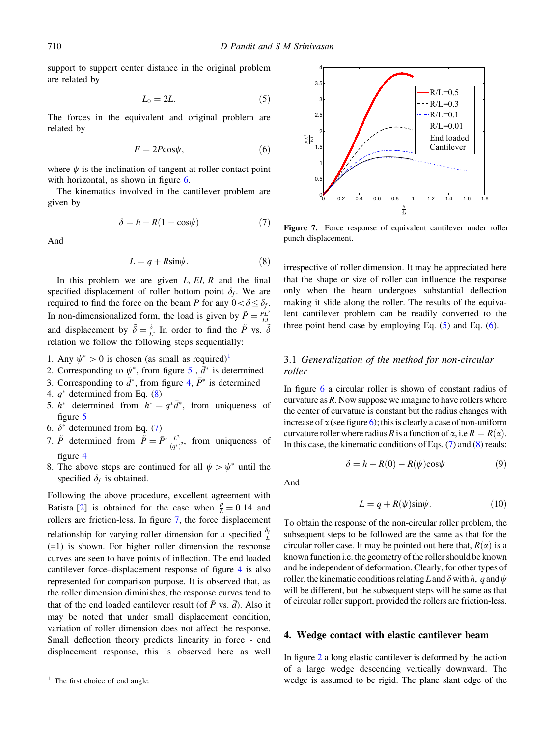support to support center distance in the original problem are related by

$$
L_0 = 2L.\t\t(5)
$$

The forces in the equivalent and original problem are related by

$$
F = 2P\cos\psi,\tag{6}
$$

where  $\psi$  is the inclination of tangent at roller contact point with horizontal, as shown in figure 6.

The kinematics involved in the cantilever problem are given by

$$
\delta = h + R(1 - \cos\psi) \tag{7}
$$

And

$$
L = q + R\sin\psi.
$$
 (8)

In this problem we are given  $L$ ,  $EI$ ,  $R$  and the final specified displacement of roller bottom point  $\delta_f$ . We are required to find the force on the beam P for any  $0 < \delta \le \delta_f$ . In non-dimensionalized form, the load is given by  $\tilde{P} = \frac{PL^2}{EI}$ and displacement by  $\tilde{\delta} = \frac{\delta}{L}$ . In order to find the  $\tilde{P}$  vs.  $\tilde{\delta}$ relation we follow the following steps sequentially:

- 1. Any  $\psi^* > 0$  is chosen (as small as required)<sup>1</sup>
- 2. Corresponding to  $\psi^*$ , from figure 5,  $\bar{d}^*$  is determined
- 3. Corresponding to  $\bar{d}^*$ , from figure 4,  $\bar{P}^*$  is determined
- 4.  $q^*$  determined from Eq. (8)
- 5.  $h^*$  determined from  $h^* = q^* \bar{d}^*$ , from uniqueness of figure 5
- 6.  $\delta^*$  determined from Eq. (7)
- 7.  $\tilde{P}$  determined from  $\tilde{P} = \bar{P}^* \frac{L^2}{(q^*)^2}$  $rac{L^2}{(q^*)^2}$ , from uniqueness of figure 4
- 8. The above steps are continued for all  $\psi > \psi^*$  until the specified  $\delta_f$  is obtained.

Following the above procedure, excellent agreement with Batista [2] is obtained for the case when  $\frac{R}{L} = 0.14$  and rollers are friction-less. In figure 7, the force displacement relationship for varying roller dimension for a specified  $\frac{\delta_j}{L}$ (=1) is shown. For higher roller dimension the response curves are seen to have points of inflection. The end loaded cantilever force–displacement response of figure 4 is also represented for comparison purpose. It is observed that, as the roller dimension diminishes, the response curves tend to that of the end loaded cantilever result (of  $\bar{P}$  vs.  $\bar{d}$ ). Also it may be noted that under small displacement condition, variation of roller dimension does not affect the response. Small deflection theory predicts linearity in force - end displacement response, this is observed here as well



Figure 7. Force response of equivalent cantilever under roller punch displacement.

irrespective of roller dimension. It may be appreciated here that the shape or size of roller can influence the response only when the beam undergoes substantial deflection making it slide along the roller. The results of the equivalent cantilever problem can be readily converted to the three point bend case by employing Eq.  $(5)$  and Eq.  $(6)$ .

# 3.1 Generalization of the method for non-circular roller

In figure 6 a circular roller is shown of constant radius of curvature as  $R$ . Now suppose we imagine to have rollers where the center of curvature is constant but the radius changes with increase of  $\alpha$  (see figure 6); this is clearly a case of non-uniform curvature roller where radius R is a function of  $\alpha$ , i.e  $R = R(\alpha)$ . In this case, the kinematic conditions of Eqs. (7) and (8) reads:

$$
\delta = h + R(0) - R(\psi)\cos\psi \tag{9}
$$

And

$$
L = q + R(\psi)\sin\psi.
$$
 (10)

To obtain the response of the non-circular roller problem, the subsequent steps to be followed are the same as that for the circular roller case. It may be pointed out here that,  $R(\alpha)$  is a known function i.e. the geometry of the roller should be known and be independent of deformation. Clearly, for other types of roller, the kinematic conditions relating L and  $\delta$  with h, q and  $\psi$ will be different, but the subsequent steps will be same as that of circular roller support, provided the rollers are friction-less.

#### 4. Wedge contact with elastic cantilever beam

In figure 2 a long elastic cantilever is deformed by the action of a large wedge descending vertically downward. The wedge is assumed to be rigid. The plane slant edge of the

 $<sup>1</sup>$  The first choice of end angle.</sup>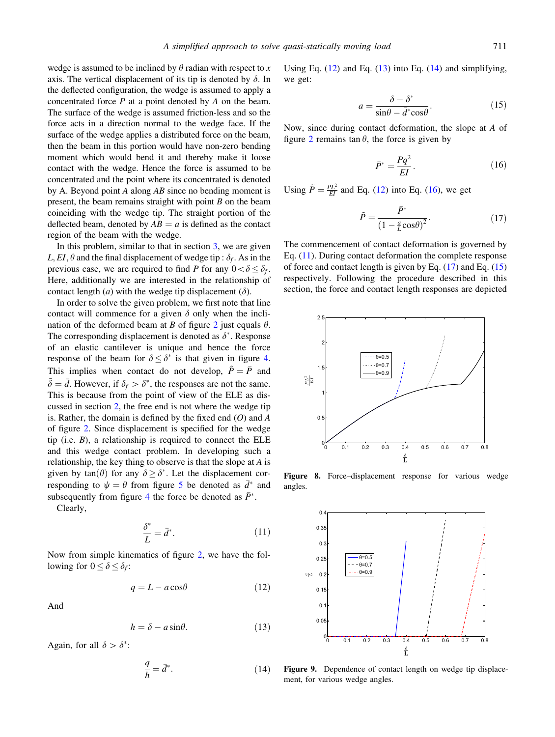wedge is assumed to be inclined by  $\theta$  radian with respect to x axis. The vertical displacement of its tip is denoted by  $\delta$ . In the deflected configuration, the wedge is assumed to apply a concentrated force  $P$  at a point denoted by  $A$  on the beam. The surface of the wedge is assumed friction-less and so the force acts in a direction normal to the wedge face. If the surface of the wedge applies a distributed force on the beam, then the beam in this portion would have non-zero bending moment which would bend it and thereby make it loose contact with the wedge. Hence the force is assumed to be concentrated and the point where its concentrated is denoted by A. Beyond point A along AB since no bending moment is present, the beam remains straight with point  $B$  on the beam coinciding with the wedge tip. The straight portion of the deflected beam, denoted by  $AB = a$  is defined as the contact region of the beam with the wedge.

In this problem, similar to that in section  $3$ , we are given L, EI,  $\theta$  and the final displacement of wedge tip :  $\delta_f$ . As in the previous case, we are required to find P for any  $0 < \delta \le \delta_f$ . Here, additionally we are interested in the relationship of contact length (*a*) with the wedge tip displacement ( $\delta$ ).

In order to solve the given problem, we first note that line contact will commence for a given  $\delta$  only when the inclination of the deformed beam at B of figure 2 just equals  $\theta$ . The corresponding displacement is denoted as  $\delta^*$ . Response of an elastic cantilever is unique and hence the force response of the beam for  $\delta \leq \delta^*$  is that given in figure 4. This implies when contact do not develop,  $\tilde{P} = \overline{P}$  and  $\tilde{\delta} = \bar{d}$ . However, if  $\delta_f > \delta^*$ , the responses are not the same. This is because from the point of view of the ELE as discussed in section 2, the free end is not where the wedge tip is. Rather, the domain is defined by the fixed end  $(O)$  and A of figure 2. Since displacement is specified for the wedge tip (i.e.  $B$ ), a relationship is required to connect the ELE and this wedge contact problem. In developing such a relationship, the key thing to observe is that the slope at A is given by  $\tan(\theta)$  for any  $\delta \geq \delta^*$ . Let the displacement corresponding to  $\psi = \theta$  from figure 5 be denoted as  $\overline{d}_{\overline{a}}^*$  and subsequently from figure 4 the force be denoted as  $\bar{P}^*$ .

Clearly,

$$
\frac{\delta^*}{L} = \bar{d}^*.
$$
\n(11)

Now from simple kinematics of figure 2, we have the following for  $0 \leq \delta \leq \delta_f$ :

$$
q = L - a\cos\theta\tag{12}
$$

And

$$
h = \delta - a \sin \theta. \tag{13}
$$

Again, for all  $\delta > \delta^*$ :

$$
\frac{q}{h} = \bar{d}^*.\tag{14}
$$

Using Eq.  $(12)$  and Eq.  $(13)$  into Eq.  $(14)$  and simplifying, we get:

$$
a = \frac{\delta - \delta^*}{\sin \theta - \bar{d}^* \cos \theta}.
$$
 (15)

Now, since during contact deformation, the slope at A of figure 2 remains tan  $\theta$ , the force is given by

$$
\bar{P}^* = \frac{Pq^2}{EI}.\tag{16}
$$

Using  $\tilde{P} = \frac{PL^2}{EI}$  and Eq. (12) into Eq. (16), we get

$$
\tilde{P} = \frac{\bar{P}^*}{\left(1 - \frac{a}{L}\cos\theta\right)^2}.
$$
\n(17)

The commencement of contact deformation is governed by Eq. (11). During contact deformation the complete response of force and contact length is given by Eq. (17) and Eq. (15) respectively. Following the procedure described in this section, the force and contact length responses are depicted



Figure 8. Force–displacement response for various wedge angles.



Figure 9. Dependence of contact length on wedge tip displacement, for various wedge angles.